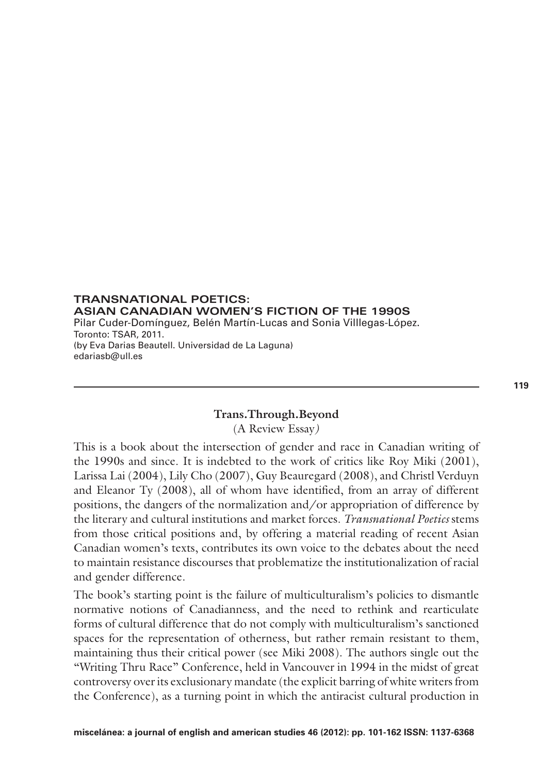**TRANSNATIONAL POETICS: ASIAN CANADIAN WOMEN'S FICTION OF THE 1990S** Pilar Cuder-Domínguez, Belén Martín-Lucas and Sonia Villlegas-López. Toronto: TSAR, 2011. (by Eva Darias Beautell. Universidad de La Laguna) edariasb@ull.es

# **Trans.Through.Beyond**

(A Review Essay*)*

This is a book about the intersection of gender and race in Canadian writing of the 1990s and since. It is indebted to the work of critics like Roy Miki (2001), Larissa Lai (2004), Lily Cho (2007), Guy Beauregard (2008), and Christl Verduyn and Eleanor Ty (2008), all of whom have identified, from an array of different positions, the dangers of the normalization and/or appropriation of difference by the literary and cultural institutions and market forces. *Transnational Poetics* stems from those critical positions and, by offering a material reading of recent Asian Canadian women's texts, contributes its own voice to the debates about the need to maintain resistance discourses that problematize the institutionalization of racial and gender difference.

The book's starting point is the failure of multiculturalism's policies to dismantle normative notions of Canadianness, and the need to rethink and rearticulate forms of cultural difference that do not comply with multiculturalism's sanctioned spaces for the representation of otherness, but rather remain resistant to them, maintaining thus their critical power (see Miki 2008). The authors single out the "Writing Thru Race" Conference, held in Vancouver in 1994 in the midst of great controversy over its exclusionary mandate (the explicit barring of white writers from the Conference), as a turning point in which the antiracist cultural production in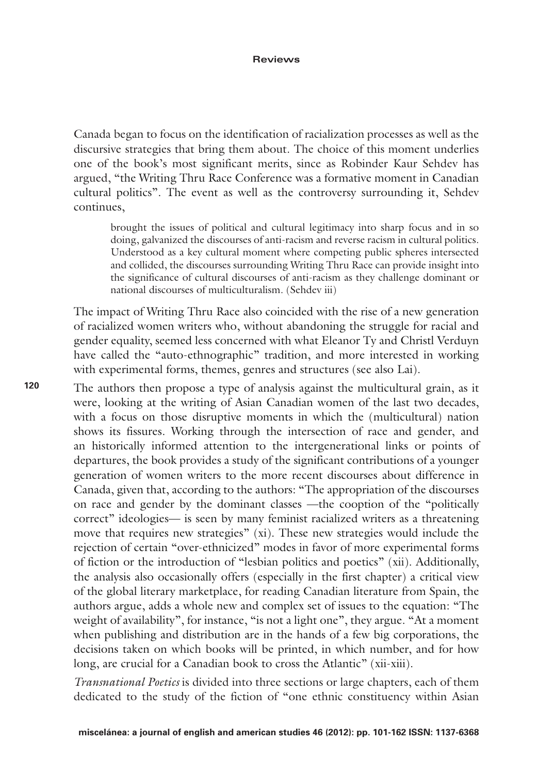Canada began to focus on the identification of racialization processes as well as the discursive strategies that bring them about. The choice of this moment underlies one of the book's most significant merits, since as Robinder Kaur Sehdev has argued, "the Writing Thru Race Conference was a formative moment in Canadian cultural politics". The event as well as the controversy surrounding it, Sehdev continues,

brought the issues of political and cultural legitimacy into sharp focus and in so doing, galvanized the discourses of anti-racism and reverse racism in cultural politics. Understood as a key cultural moment where competing public spheres intersected and collided, the discourses surrounding Writing Thru Race can provide insight into the significance of cultural discourses of anti-racism as they challenge dominant or national discourses of multiculturalism. (Sehdev iii)

The impact of Writing Thru Race also coincided with the rise of a new generation of racialized women writers who, without abandoning the struggle for racial and gender equality, seemed less concerned with what Eleanor Ty and Christl Verduyn have called the "auto-ethnographic" tradition, and more interested in working with experimental forms, themes, genres and structures (see also Lai).

The authors then propose a type of analysis against the multicultural grain, as it were, looking at the writing of Asian Canadian women of the last two decades, with a focus on those disruptive moments in which the (multicultural) nation shows its fissures. Working through the intersection of race and gender, and an historically informed attention to the intergenerational links or points of departures, the book provides a study of the significant contributions of a younger generation of women writers to the more recent discourses about difference in Canada, given that, according to the authors: "The appropriation of the discourses on race and gender by the dominant classes —the cooption of the "politically correct" ideologies— is seen by many feminist racialized writers as a threatening move that requires new strategies" (xi). These new strategies would include the rejection of certain "over-ethnicized" modes in favor of more experimental forms of fiction or the introduction of "lesbian politics and poetics" (xii). Additionally, the analysis also occasionally offers (especially in the first chapter) a critical view of the global literary marketplace, for reading Canadian literature from Spain, the authors argue, adds a whole new and complex set of issues to the equation: "The weight of availability", for instance, "is not a light one", they argue. "At a moment when publishing and distribution are in the hands of a few big corporations, the decisions taken on which books will be printed, in which number, and for how long, are crucial for a Canadian book to cross the Atlantic" (xii-xiii).

*Transnational Poetics* is divided into three sections or large chapters, each of them dedicated to the study of the fiction of "one ethnic constituency within Asian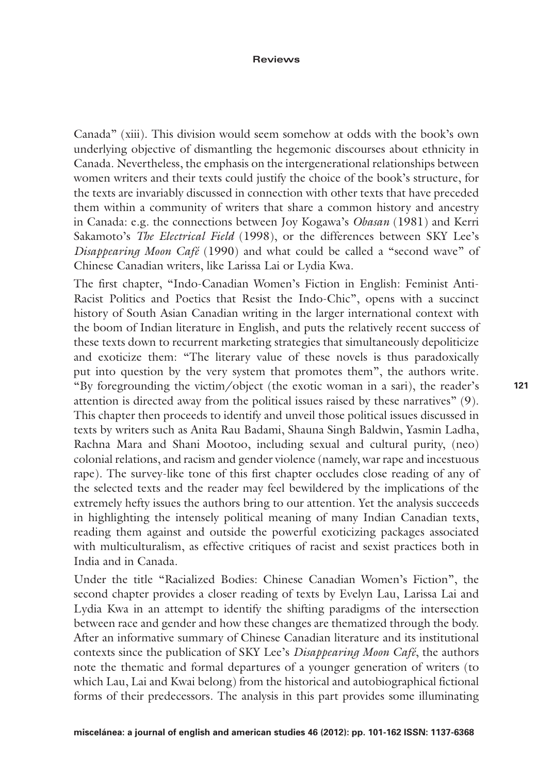Canada" (xiii). This division would seem somehow at odds with the book's own underlying objective of dismantling the hegemonic discourses about ethnicity in Canada. Nevertheless, the emphasis on the intergenerational relationships between women writers and their texts could justify the choice of the book's structure, for the texts are invariably discussed in connection with other texts that have preceded them within a community of writers that share a common history and ancestry in Canada: e.g. the connections between Joy Kogawa's *Obasan* (1981) and Kerri Sakamoto's *The Electrical Field* (1998), or the differences between SKY Lee's *Disappearing Moon Café* (1990) and what could be called a "second wave" of Chinese Canadian writers, like Larissa Lai or Lydia Kwa.

The first chapter, "Indo-Canadian Women's Fiction in English: Feminist Anti-Racist Politics and Poetics that Resist the Indo-Chic", opens with a succinct history of South Asian Canadian writing in the larger international context with the boom of Indian literature in English, and puts the relatively recent success of these texts down to recurrent marketing strategies that simultaneously depoliticize and exoticize them: "The literary value of these novels is thus paradoxically put into question by the very system that promotes them", the authors write. "By foregrounding the victim/object (the exotic woman in a sari), the reader's attention is directed away from the political issues raised by these narratives" (9). This chapter then proceeds to identify and unveil those political issues discussed in texts by writers such as Anita Rau Badami, Shauna Singh Baldwin, Yasmin Ladha, Rachna Mara and Shani Mootoo, including sexual and cultural purity, (neo) colonial relations, and racism and gender violence (namely, war rape and incestuous rape). The survey-like tone of this first chapter occludes close reading of any of the selected texts and the reader may feel bewildered by the implications of the extremely hefty issues the authors bring to our attention. Yet the analysis succeeds in highlighting the intensely political meaning of many Indian Canadian texts, reading them against and outside the powerful exoticizing packages associated with multiculturalism, as effective critiques of racist and sexist practices both in India and in Canada.

Under the title "Racialized Bodies: Chinese Canadian Women's Fiction", the second chapter provides a closer reading of texts by Evelyn Lau, Larissa Lai and Lydia Kwa in an attempt to identify the shifting paradigms of the intersection between race and gender and how these changes are thematized through the body. After an informative summary of Chinese Canadian literature and its institutional contexts since the publication of SKY Lee's *Disappearing Moon Café*, the authors note the thematic and formal departures of a younger generation of writers (to which Lau, Lai and Kwai belong) from the historical and autobiographical fictional forms of their predecessors. The analysis in this part provides some illuminating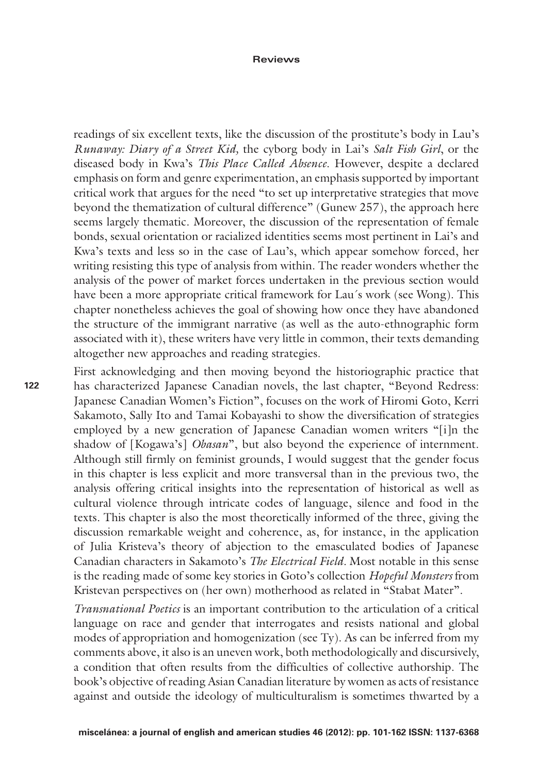readings of six excellent texts, like the discussion of the prostitute's body in Lau's *Runaway: Diary of a Street Kid,* the cyborg body in Lai's *Salt Fish Girl*, or the diseased body in Kwa's *This Place Called Absence*. However, despite a declared emphasis on form and genre experimentation, an emphasis supported by important critical work that argues for the need "to set up interpretative strategies that move beyond the thematization of cultural difference" (Gunew 257), the approach here seems largely thematic. Moreover, the discussion of the representation of female bonds, sexual orientation or racialized identities seems most pertinent in Lai's and Kwa's texts and less so in the case of Lau's, which appear somehow forced, her writing resisting this type of analysis from within. The reader wonders whether the analysis of the power of market forces undertaken in the previous section would have been a more appropriate critical framework for Lau´s work (see Wong). This chapter nonetheless achieves the goal of showing how once they have abandoned the structure of the immigrant narrative (as well as the auto-ethnographic form associated with it), these writers have very little in common, their texts demanding altogether new approaches and reading strategies.

First acknowledging and then moving beyond the historiographic practice that has characterized Japanese Canadian novels, the last chapter, "Beyond Redress: Japanese Canadian Women's Fiction", focuses on the work of Hiromi Goto, Kerri Sakamoto, Sally Ito and Tamai Kobayashi to show the diversification of strategies employed by a new generation of Japanese Canadian women writers "[i]n the shadow of [Kogawa's] *Obasan*", but also beyond the experience of internment. Although still firmly on feminist grounds, I would suggest that the gender focus in this chapter is less explicit and more transversal than in the previous two, the analysis offering critical insights into the representation of historical as well as cultural violence through intricate codes of language, silence and food in the texts. This chapter is also the most theoretically informed of the three, giving the discussion remarkable weight and coherence, as, for instance, in the application of Julia Kristeva's theory of abjection to the emasculated bodies of Japanese Canadian characters in Sakamoto's *The Electrical Field.* Most notable in this sense is the reading made of some key stories in Goto's collection *Hopeful Monsters* from Kristevan perspectives on (her own) motherhood as related in "Stabat Mater".

*Transnational Poetics* is an important contribution to the articulation of a critical language on race and gender that interrogates and resists national and global modes of appropriation and homogenization (see Ty). As can be inferred from my comments above, it also is an uneven work, both methodologically and discursively, a condition that often results from the difficulties of collective authorship. The book's objective of reading Asian Canadian literature by women as acts of resistance against and outside the ideology of multiculturalism is sometimes thwarted by a